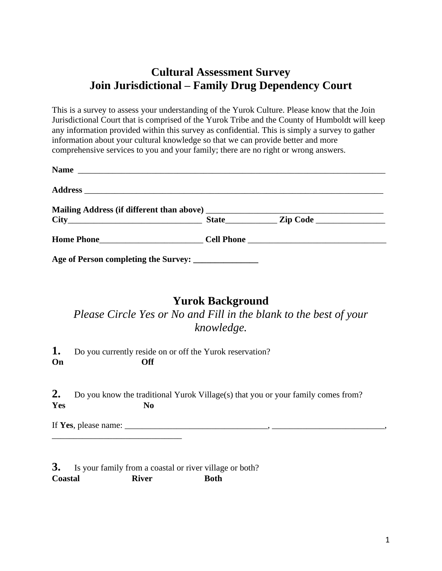# **Cultural Assessment Survey Join Jurisdictional – Family Drug Dependency Court**

This is a survey to assess your understanding of the Yurok Culture. Please know that the Join Jurisdictional Court that is comprised of the Yurok Tribe and the County of Humboldt will keep any information provided within this survey as confidential. This is simply a survey to gather information about your cultural knowledge so that we can provide better and more comprehensive services to you and your family; there are no right or wrong answers.

| Name                                                   |  |  |
|--------------------------------------------------------|--|--|
|                                                        |  |  |
|                                                        |  |  |
|                                                        |  |  |
|                                                        |  |  |
| Age of Person completing the Survey: _________________ |  |  |

#### **Yurok Background**

*Please Circle Yes or No and Fill in the blank to the best of your knowledge.*

**1.** Do you currently reside on or off the Yurok reservation? **On Off**

**2.** Do you know the traditional Yurok Village(s) that you or your family comes from? **Yes No**

If **Yes**, please name: \_\_\_\_\_\_\_\_\_\_\_\_\_\_\_\_\_\_\_\_\_\_\_\_\_\_\_\_\_\_\_\_\_, \_\_\_\_\_\_\_\_\_\_\_\_\_\_\_\_\_\_\_\_\_\_\_\_\_\_,

\_\_\_\_\_\_\_\_\_\_\_\_\_\_\_\_\_\_\_\_\_\_\_\_\_\_\_\_\_\_

**3.** Is your family from a coastal or river village or both? **Coastal River Both**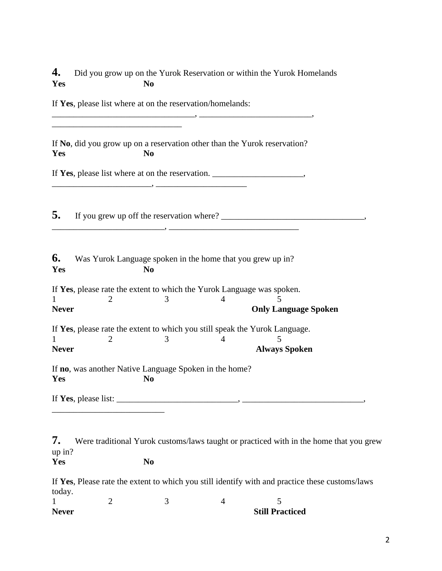|     |     | 4. Did you grow up on the Yurok Reservation or within the Yurok Homelands |
|-----|-----|---------------------------------------------------------------------------|
| Yes | No. |                                                                           |

If **Yes**, please list where at on the reservation/homelands:

| Yes                 | If No, did you grow up on a reservation other than the Yurok reservation?<br>N <sub>0</sub> |                                                                              |                |                                                                                                                                                                                                                                                                    |  |  |  |  |
|---------------------|---------------------------------------------------------------------------------------------|------------------------------------------------------------------------------|----------------|--------------------------------------------------------------------------------------------------------------------------------------------------------------------------------------------------------------------------------------------------------------------|--|--|--|--|
|                     | If Yes, please list where at on the reservation. ________________________________           |                                                                              |                |                                                                                                                                                                                                                                                                    |  |  |  |  |
| 5.                  |                                                                                             |                                                                              |                |                                                                                                                                                                                                                                                                    |  |  |  |  |
| 6.<br>Yes           |                                                                                             | Was Yurok Language spoken in the home that you grew up in?<br>N <sub>0</sub> |                |                                                                                                                                                                                                                                                                    |  |  |  |  |
| 1<br><b>Never</b>   | If Yes, please rate the extent to which the Yurok Language was spoken.<br>$\overline{2}$    | 3                                                                            | $\overline{4}$ | 5<br><b>Only Language Spoken</b>                                                                                                                                                                                                                                   |  |  |  |  |
| <b>Never</b>        |                                                                                             | 3                                                                            | 4              | If Yes, please rate the extent to which you still speak the Yurok Language.<br><b>Always Spoken</b>                                                                                                                                                                |  |  |  |  |
| Yes                 | If no, was another Native Language Spoken in the home?                                      | N <sub>0</sub>                                                               |                |                                                                                                                                                                                                                                                                    |  |  |  |  |
|                     |                                                                                             |                                                                              |                | If Yes, please list: $\frac{1}{2}$ is the set of $\frac{1}{2}$ is the set of $\frac{1}{2}$ is the set of $\frac{1}{2}$ is the set of $\frac{1}{2}$ is the set of $\frac{1}{2}$ is the set of $\frac{1}{2}$ is the set of $\frac{1}{2}$ is the set of $\frac{1}{2}$ |  |  |  |  |
| 7.<br>up in?<br>Yes |                                                                                             | N <sub>0</sub>                                                               |                | Were traditional Yurok customs/laws taught or practiced with in the home that you grew                                                                                                                                                                             |  |  |  |  |
| today.              |                                                                                             |                                                                              |                | If Yes, Please rate the extent to which you still identify with and practice these customs/laws                                                                                                                                                                    |  |  |  |  |

| <b>Never</b> |  | <b>Still Practiced</b> |
|--------------|--|------------------------|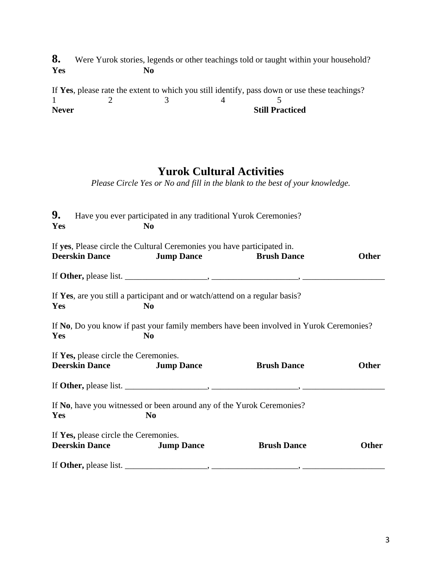**8.** Were Yurok stories, legends or other teachings told or taught within your household?<br>Yes No  $Yes$ 

If **Yes**, please rate the extent to which you still identify, pass down or use these teachings?  $1 \t 2 \t 3 \t 4 \t 5$ **Never** Still Practiced

## **Yurok Cultural Activities**

*Please Circle Yes or No and fill in the blank to the best of your knowledge.*

| 9.<br>Yes |                                                                | Have you ever participated in any traditional Yurok Ceremonies?<br>No                        |                                                                                        |              |
|-----------|----------------------------------------------------------------|----------------------------------------------------------------------------------------------|----------------------------------------------------------------------------------------|--------------|
|           | <b>Deerskin Dance</b>                                          | If yes, Please circle the Cultural Ceremonies you have participated in.<br><b>Jump Dance</b> | <b>Brush Dance</b>                                                                     | <b>Other</b> |
|           |                                                                |                                                                                              | If Other, please list. $\_\_\_\_\_\_\_\_$ , $\_\_\_\_\_\_\_$                           |              |
| Yes       |                                                                | If Yes, are you still a participant and or watch/attend on a regular basis?<br>No            |                                                                                        |              |
| Yes       |                                                                | N <sub>0</sub>                                                                               | If No, Do you know if past your family members have been involved in Yurok Ceremonies? |              |
|           | If Yes, please circle the Ceremonies.<br><b>Deerskin Dance</b> | <b>Jump Dance</b>                                                                            | <b>Brush Dance</b>                                                                     | <b>Other</b> |
|           |                                                                |                                                                                              |                                                                                        |              |
| Yes       |                                                                | If No, have you witnessed or been around any of the Yurok Ceremonies?<br>N <sub>0</sub>      |                                                                                        |              |
|           | If Yes, please circle the Ceremonies.<br><b>Deerskin Dance</b> | <b>Jump Dance</b>                                                                            | <b>Brush Dance</b>                                                                     | <b>Other</b> |
|           |                                                                |                                                                                              | If Other, please list. $\_\_\_\_\_\_\_\_\_$ , $\_\_\_\_\_\_\_\_\_$                     |              |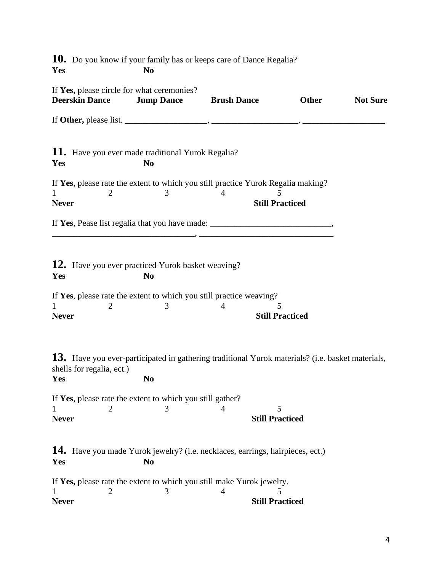**10.** Do you know if your family has or keeps care of Dance Regalia? **Yes No**

| If Yes, please circle for what ceremonies?<br><b>Deerskin Dance</b>                                                                                                                                                                                                                                            | <b>Jump Dance</b> | <b>Brush Dance</b>                                                                                                  | <b>Other</b>                | <b>Not Sure</b> |
|----------------------------------------------------------------------------------------------------------------------------------------------------------------------------------------------------------------------------------------------------------------------------------------------------------------|-------------------|---------------------------------------------------------------------------------------------------------------------|-----------------------------|-----------------|
| If Other, please list. $\frac{1}{1}$ $\frac{1}{1}$ $\frac{1}{1}$ $\frac{1}{1}$ $\frac{1}{1}$ $\frac{1}{1}$ $\frac{1}{1}$ $\frac{1}{1}$ $\frac{1}{1}$ $\frac{1}{1}$ $\frac{1}{1}$ $\frac{1}{1}$ $\frac{1}{1}$ $\frac{1}{1}$ $\frac{1}{1}$ $\frac{1}{1}$ $\frac{1}{1}$ $\frac{1}{1}$ $\frac{1}{1}$ $\frac{1}{1}$ |                   |                                                                                                                     |                             |                 |
| 11. Have you ever made traditional Yurok Regalia?<br>Yes                                                                                                                                                                                                                                                       | N <sub>0</sub>    |                                                                                                                     |                             |                 |
| If Yes, please rate the extent to which you still practice Yurok Regalia making?<br>2<br>1<br><b>Never</b>                                                                                                                                                                                                     | 3                 | 4                                                                                                                   | <b>Still Practiced</b>      |                 |
| If Yes, Pease list regalia that you have made: __________________________________                                                                                                                                                                                                                              |                   | <u> 1989 - Johann Barn, mars ann an t-Amhain an t-Amhain an t-Amhain an t-Amhain an t-Amhain an t-Amhain an t-A</u> |                             |                 |
| 12. Have you ever practiced Yurok basket weaving?<br>Yes                                                                                                                                                                                                                                                       | N <sub>0</sub>    |                                                                                                                     |                             |                 |
| If Yes, please rate the extent to which you still practice weaving?<br>1<br>2<br><b>Never</b>                                                                                                                                                                                                                  | 3                 | 4                                                                                                                   | 5<br><b>Still Practiced</b> |                 |
| 13. Have you ever-participated in gathering traditional Yurok materials? (i.e. basket materials,<br>shells for regalia, ect.)<br>Yes                                                                                                                                                                           | N <sub>0</sub>    |                                                                                                                     |                             |                 |
| If Yes, please rate the extent to which you still gather?<br>$1 \qquad \qquad 2 \qquad \qquad 3 \qquad \qquad 4$<br><b>Never</b>                                                                                                                                                                               |                   | <b>Still Practiced</b>                                                                                              |                             |                 |
| 14. Have you made Yurok jewelry? (i.e. necklaces, earrings, hairpieces, ect.)<br>Yes                                                                                                                                                                                                                           | N <sub>0</sub>    |                                                                                                                     |                             |                 |
| If Yes, please rate the extent to which you still make Yurok jewelry.<br><b>Never</b>                                                                                                                                                                                                                          | 3                 | 4<br><b>Still Practiced</b>                                                                                         |                             |                 |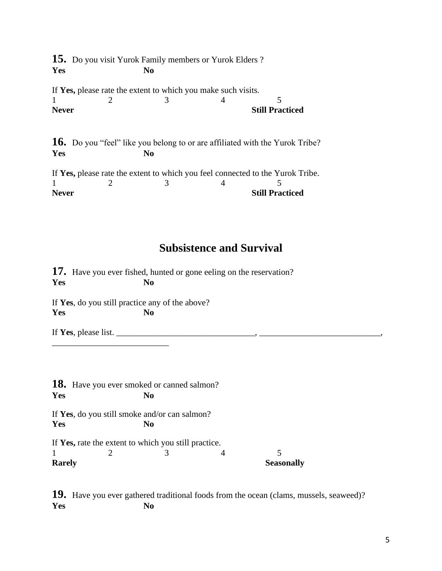**15.** Do you visit Yurok Family members or Yurok Elders ? **Yes No**

If **Yes,** please rate the extent to which you make such visits.  $1 \t 2 \t 3 \t 4 \t 5$ **Never** Still Practiced

**16.** Do you "feel" like you belong to or are affiliated with the Yurok Tribe? **Yes No**

If **Yes,** please rate the extent to which you feel connected to the Yurok Tribe.  $1 \t 2 \t 3 \t 4 \t 5$ **Never** Still Practiced

## **Subsistence and Survival**

**17.** Have you ever fished, hunted or gone eeling on the reservation? **Yes No** If **Yes**, do you still practice any of the above? **Yes No** If **Yes**, please list. \_\_\_\_\_\_\_\_\_\_\_\_\_\_\_\_\_\_\_\_\_\_\_\_\_\_\_\_\_\_\_\_, \_\_\_\_\_\_\_\_\_\_\_\_\_\_\_\_\_\_\_\_\_\_\_\_\_\_\_\_, \_\_\_\_\_\_\_\_\_\_\_\_\_\_\_\_\_\_\_\_\_\_\_\_\_\_\_

**18.** Have you ever smoked or canned salmon? **Yes No** If **Yes**, do you still smoke and/or can salmon? **Yes No** If **Yes,** rate the extent to which you still practice.  $1 \t 2 \t 3 \t 4 \t 5$ **Rarely** Seasonally

**19.** Have you ever gathered traditional foods from the ocean (clams, mussels, seaweed)? **Yes No**